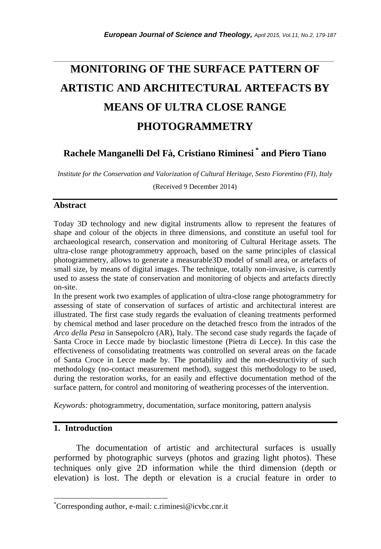# **MONITORING OF THE SURFACE PATTERN OF ARTISTIC AND ARCHITECTURAL ARTEFACTS BY MEANS OF ULTRA CLOSE RANGE PHOTOGRAMMETRY**

*\_\_\_\_\_\_\_\_\_\_\_\_\_\_\_\_\_\_\_\_\_\_\_\_\_\_\_\_\_\_\_\_\_\_\_\_\_\_\_\_\_\_\_\_\_\_\_\_\_\_\_\_\_\_\_\_\_\_\_\_\_\_\_\_\_\_\_\_\_\_\_*

**Rachele Manganelli Del Fà, Cristiano Riminesi \* and Piero Tiano**

*Institute for the Conservation and Valorization of Cultural Heritage, Sesto Fiorentino (FI), Italy*

(Received 9 December 2014)

#### **Abstract**

Today 3D technology and new digital instruments allow to represent the features of shape and colour of the objects in three dimensions, and constitute an useful tool for archaeological research, conservation and monitoring of Cultural Heritage assets. The ultra-close range photogrammetry approach, based on the same principles of classical photogrammetry, allows to generate a measurable3D model of small area, or artefacts of small size, by means of digital images. The technique, totally non-invasive, is currently used to assess the state of conservation and monitoring of objects and artefacts directly on-site.

In the present work two examples of application of ultra-close range photogrammetry for assessing of state of conservation of surfaces of artistic and architectural interest are illustrated. The first case study regards the evaluation of cleaning treatments performed by chemical method and laser procedure on the detached fresco from the intrados of the *Arco della Pesa* in Sansepolcro (AR), Italy. The second case study regards the façade of Santa Croce in Lecce made by bioclastic limestone (Pietra di Lecce). In this case the effectiveness of consolidating treatments was controlled on several areas on the facade of Santa Croce in Lecce made by. The portability and the non-destructivity of such methodology (no-contact measurement method), suggest this methodology to be used, during the restoration works, for an easily and effective documentation method of the surface pattern, for control and monitoring of weathering processes of the intervention.

*Keywords:* photogrammetry, documentation, surface monitoring, pattern analysis

### **1. Introduction**

l

The documentation of artistic and architectural surfaces is usually performed by photographic surveys (photos and grazing light photos). These techniques only give 2D information while the third dimension (depth or elevation) is lost. The depth or elevation is a crucial feature in order to

<sup>\*</sup>Corresponding author, e-mail: [c.riminesi@icvbc.cnr.it](mailto:riminesi@icvbc.cnr.it)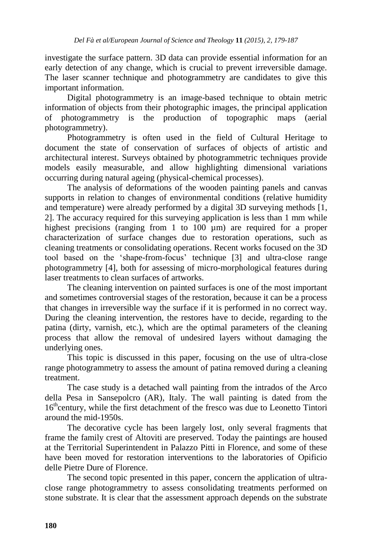investigate the surface pattern. 3D data can provide essential information for an early detection of any change, which is crucial to prevent irreversible damage. The laser scanner technique and photogrammetry are candidates to give this important information.

Digital photogrammetry is an image-based technique to obtain metric information of objects from their photographic images, the principal application of photogrammetry is the production of topographic maps (aerial photogrammetry).

Photogrammetry is often used in the field of Cultural Heritage to document the state of conservation of surfaces of objects of artistic and architectural interest. Surveys obtained by photogrammetric techniques provide models easily measurable, and allow highlighting dimensional variations occurring during natural ageing (physical-chemical processes).

The analysis of deformations of the wooden painting panels and canvas supports in relation to changes of environmental conditions (relative humidity and temperature) were already performed by a digital 3D surveying methods [1, 2]. The accuracy required for this surveying application is less than 1 mm while highest precisions (ranging from 1 to 100 µm) are required for a proper characterization of surface changes due to restoration operations, such as cleaning treatments or consolidating operations. Recent works focused on the 3D tool based on the 'shape-from-focus' technique [3] and ultra-close range photogrammetry [4], both for assessing of micro-morphological features during laser treatments to clean surfaces of artworks.

The cleaning intervention on painted surfaces is one of the most important and sometimes controversial stages of the restoration, because it can be a process that changes in irreversible way the surface if it is performed in no correct way. During the cleaning intervention, the restores have to decide, regarding to the patina (dirty, varnish, etc.), which are the optimal parameters of the cleaning process that allow the removal of undesired layers without damaging the underlying ones.

This topic is discussed in this paper, focusing on the use of ultra-close range photogrammetry to assess the amount of patina removed during a cleaning treatment.

The case study is a detached wall painting from the intrados of the Arco della Pesa in Sansepolcro (AR), Italy. The wall painting is dated from the 16<sup>th</sup>century, while the first detachment of the fresco was due to Leonetto Tintori around the mid-1950s.

The decorative cycle has been largely lost, only several fragments that frame the family crest of Altoviti are preserved. Today the paintings are housed at the Territorial Superintendent in Palazzo Pitti in Florence, and some of these have been moved for restoration interventions to the laboratories of Opificio delle Pietre Dure of Florence.

The second topic presented in this paper, concern the application of ultraclose range photogrammetry to assess consolidating treatments performed on stone substrate. It is clear that the assessment approach depends on the substrate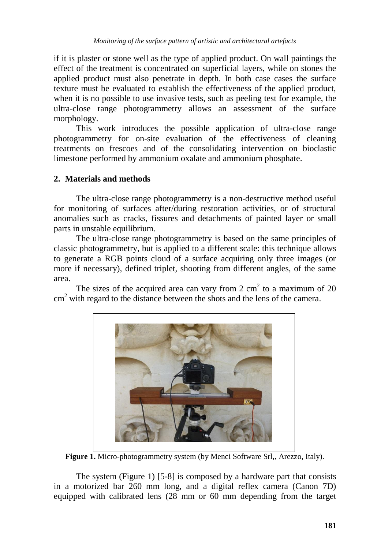if it is plaster or stone well as the type of applied product. On wall paintings the effect of the treatment is concentrated on superficial layers, while on stones the applied product must also penetrate in depth. In both case cases the surface texture must be evaluated to establish the effectiveness of the applied product, when it is no possible to use invasive tests, such as peeling test for example, the ultra-close range photogrammetry allows an assessment of the surface morphology.

This work introduces the possible application of ultra-close range photogrammetry for on-site evaluation of the effectiveness of cleaning treatments on frescoes and of the consolidating intervention on bioclastic limestone performed by ammonium oxalate and ammonium phosphate.

## **2. Materials and methods**

The ultra-close range photogrammetry is a non-destructive method useful for monitoring of surfaces after/during restoration activities, or of structural anomalies such as cracks, fissures and detachments of painted layer or small parts in unstable equilibrium.

The ultra-close range photogrammetry is based on the same principles of classic photogrammetry, but is applied to a different scale: this technique allows to generate a RGB points cloud of a surface acquiring only three images (or more if necessary), defined triplet, shooting from different angles, of the same area.

The sizes of the acquired area can vary from  $2 \text{ cm}^2$  to a maximum of  $20$  $\text{cm}^2$  with regard to the distance between the shots and the lens of the camera.



Figure 1. Micro-photogrammetry system (by Menci Software Srl., Arezzo, Italy).

The system (Figure 1) [5-8] is composed by a hardware part that consists in a motorized bar 260 mm long, and a digital reflex camera (Canon 7D) equipped with calibrated lens (28 mm or 60 mm depending from the target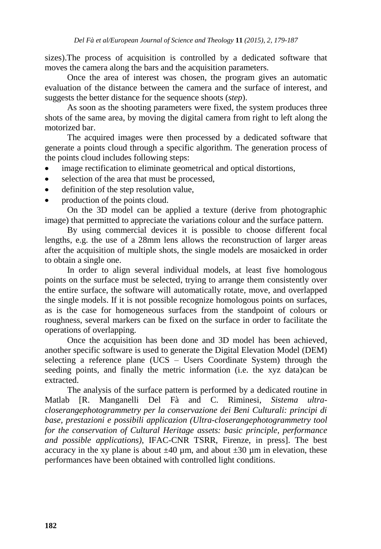sizes).The process of acquisition is controlled by a dedicated software that moves the camera along the bars and the acquisition parameters.

Once the area of interest was chosen, the program gives an automatic evaluation of the distance between the camera and the surface of interest, and suggests the better distance for the sequence shoots (*step*).

As soon as the shooting parameters were fixed, the system produces three shots of the same area, by moving the digital camera from right to left along the motorized bar.

The acquired images were then processed by a dedicated software that generate a points cloud through a specific algorithm. The generation process of the points cloud includes following steps:

- image rectification to eliminate geometrical and optical distortions,
- selection of the area that must be processed,  $\bullet$
- $\bullet$ definition of the step resolution value,
- production of the points cloud.

On the 3D model can be applied a texture (derive from photographic image) that permitted to appreciate the variations colour and the surface pattern.

By using commercial devices it is possible to choose different focal lengths, e.g. the use of a 28mm lens allows the reconstruction of larger areas after the acquisition of multiple shots, the single models are mosaicked in order to obtain a single one.

In order to align several individual models, at least five homologous points on the surface must be selected, trying to arrange them consistently over the entire surface, the software will automatically rotate, move, and overlapped the single models. If it is not possible recognize homologous points on surfaces, as is the case for homogeneous surfaces from the standpoint of colours or roughness, several markers can be fixed on the surface in order to facilitate the operations of overlapping.

Once the acquisition has been done and 3D model has been achieved, another specific software is used to generate the Digital Elevation Model (DEM) selecting a reference plane (UCS – Users Coordinate System) through the seeding points, and finally the metric information (i.e. the xyz data)can be extracted.

The analysis of the surface pattern is performed by a dedicated routine in Matlab [R. Manganelli Del Fà and C. Riminesi, *Sistema ultracloserangephotogrammetry per la conservazione dei Beni Culturali: principi di base, prestazioni e possibili applicazion (Ultra-closerangephotogrammetry tool for the conservation of Cultural Heritage assets: basic principle, performance and possible applications)*, IFAC-CNR TSRR, Firenze, in press]. The best accuracy in the xy plane is about  $\pm 40 \mu m$ , and about  $\pm 30 \mu m$  in elevation, these performances have been obtained with controlled light conditions.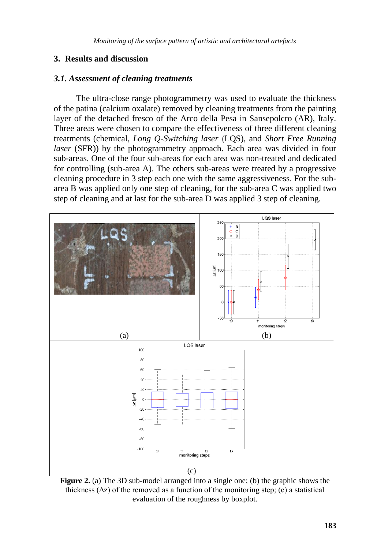## **3. Results and discussion**

#### *3.1. Assessment of cleaning treatments*

The ultra-close range photogrammetry was used to evaluate the thickness of the patina (calcium oxalate) removed by cleaning treatments from the painting layer of the detached fresco of the Arco della Pesa in Sansepolcro (AR), Italy. Three areas were chosen to compare the effectiveness of three different cleaning treatments (chemical, *Long Q-Switching laser* (LQS), and *Short Free Running laser* (SFR)) by the photogrammetry approach. Each area was divided in four sub-areas. One of the four sub-areas for each area was non-treated and dedicated for controlling (sub-area A). The others sub-areas were treated by a progressive cleaning procedure in 3 step each one with the same aggressiveness. For the subarea B was applied only one step of cleaning, for the sub-area C was applied two step of cleaning and at last for the sub-area D was applied 3 step of cleaning.



**Figure 2.** (a) The 3D sub-model arranged into a single one; (b) the graphic shows the thickness  $(\Delta z)$  of the removed as a function of the monitoring step; (c) a statistical evaluation of the roughness by boxplot.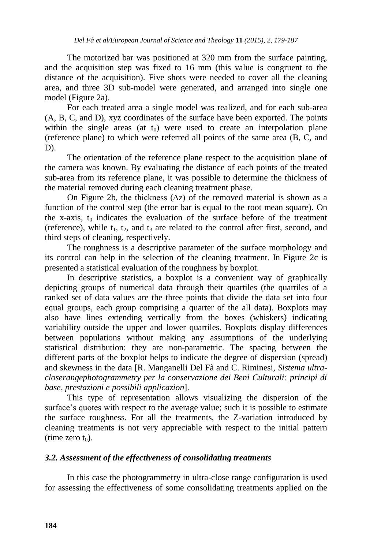The motorized bar was positioned at 320 mm from the surface painting, and the acquisition step was fixed to 16 mm (this value is congruent to the distance of the acquisition). Five shots were needed to cover all the cleaning area, and three 3D sub-model were generated, and arranged into single one model (Figure 2a).

For each treated area a single model was realized, and for each sub-area (A, B, C, and D), xyz coordinates of the surface have been exported. The points within the single areas (at  $t_0$ ) were used to create an interpolation plane (reference plane) to which were referred all points of the same area (B, C, and D).

The orientation of the reference plane respect to the acquisition plane of the camera was known. By evaluating the distance of each points of the treated sub-area from its reference plane, it was possible to determine the thickness of the material removed during each cleaning treatment phase.

On Figure 2b, the thickness (∆z) of the removed material is shown as a function of the control step (the error bar is equal to the root mean square). On the x-axis,  $t_0$  indicates the evaluation of the surface before of the treatment (reference), while  $t_1$ ,  $t_2$ , and  $t_3$  are related to the control after first, second, and third steps of cleaning, respectively.

The roughness is a descriptive parameter of the surface morphology and its control can help in the selection of the cleaning treatment. In Figure 2c is presented a statistical evaluation of the roughness by boxplot.

In descriptive statistics, a boxplot is a convenient way of graphically depicting groups of numerical data through their quartiles (the quartiles of a ranked set of data values are the three points that divide the data set into four equal groups, each group comprising a quarter of the all data). Boxplots may also have lines extending vertically from the boxes (whiskers) indicating variability outside the upper and lower quartiles. Boxplots display differences between populations without making any assumptions of the underlying statistical distribution: they are non-parametric. The spacing between the different parts of the boxplot helps to indicate the degree of dispersion (spread) and skewness in the data [R. Manganelli Del Fà and C. Riminesi, *Sistema ultracloserangephotogrammetry per la conservazione dei Beni Culturali: principi di base, prestazioni e possibili applicazion*].

This type of representation allows visualizing the dispersion of the surface's quotes with respect to the average value; such it is possible to estimate the surface roughness. For all the treatments, the Z-variation introduced by cleaning treatments is not very appreciable with respect to the initial pattern (time zero  $t_0$ ).

## *3.2. Assessment of the effectiveness of consolidating treatments*

In this case the photogrammetry in ultra-close range configuration is used for assessing the effectiveness of some consolidating treatments applied on the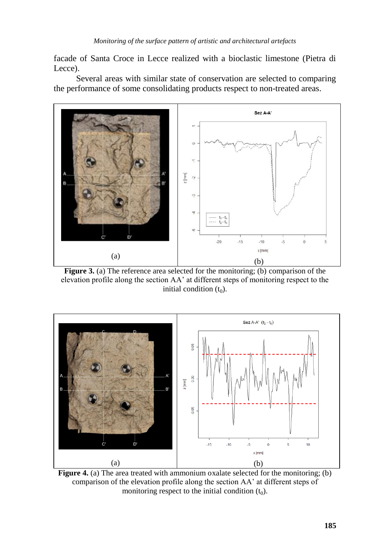facade of Santa Croce in Lecce realized with a bioclastic limestone (Pietra di Lecce).

Several areas with similar state of conservation are selected to comparing the performance of some consolidating products respect to non-treated areas.



**Figure 3.** (a) The reference area selected for the monitoring; (b) comparison of the elevation profile along the section AA' at different steps of monitoring respect to the initial condition  $(t_0)$ .



**Figure 4.** (a) The area treated with ammonium oxalate selected for the monitoring; (b) comparison of the elevation profile along the section AA' at different steps of monitoring respect to the initial condition  $(t_0)$ .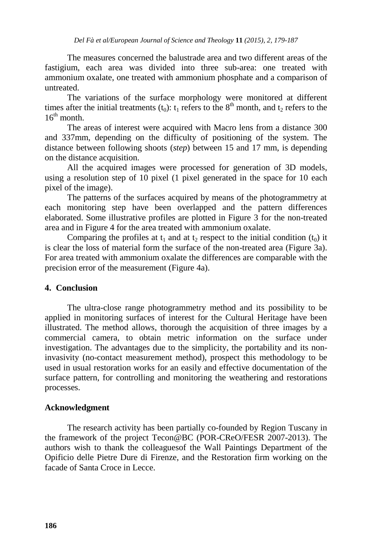The measures concerned the balustrade area and two different areas of the fastigium, each area was divided into three sub-area: one treated with ammonium oxalate, one treated with ammonium phosphate and a comparison of untreated.

The variations of the surface morphology were monitored at different times after the initial treatments  $(t_0)$ :  $t_1$  refers to the  $8<sup>th</sup>$  month, and  $t_2$  refers to the  $16^{th}$  month

The areas of interest were acquired with Macro lens from a distance 300 and 337mm, depending on the difficulty of positioning of the system. The distance between following shoots (*step*) between 15 and 17 mm, is depending on the distance acquisition.

All the acquired images were processed for generation of 3D models, using a resolution step of 10 pixel (1 pixel generated in the space for 10 each pixel of the image).

The patterns of the surfaces acquired by means of the photogrammetry at each monitoring step have been overlapped and the pattern differences elaborated. Some illustrative profiles are plotted in Figure 3 for the non-treated area and in Figure 4 for the area treated with ammonium oxalate.

Comparing the profiles at  $t_1$  and at  $t_2$  respect to the initial condition  $(t_0)$  it is clear the loss of material form the surface of the non-treated area (Figure 3a). For area treated with ammonium oxalate the differences are comparable with the precision error of the measurement (Figure 4a).

## **4. Conclusion**

The ultra-close range photogrammetry method and its possibility to be applied in monitoring surfaces of interest for the Cultural Heritage have been illustrated. The method allows, thorough the acquisition of three images by a commercial camera, to obtain metric information on the surface under investigation. The advantages due to the simplicity, the portability and its noninvasivity (no-contact measurement method), prospect this methodology to be used in usual restoration works for an easily and effective documentation of the surface pattern, for controlling and monitoring the weathering and restorations processes.

## **Acknowledgment**

The research activity has been partially co-founded by Region Tuscany in the framework of the project Tecon@BC (POR-CReO/FESR 2007-2013). The authors wish to thank the colleaguesof the Wall Paintings Department of the Opificio delle Pietre Dure di Firenze, and the Restoration firm working on the facade of Santa Croce in Lecce.